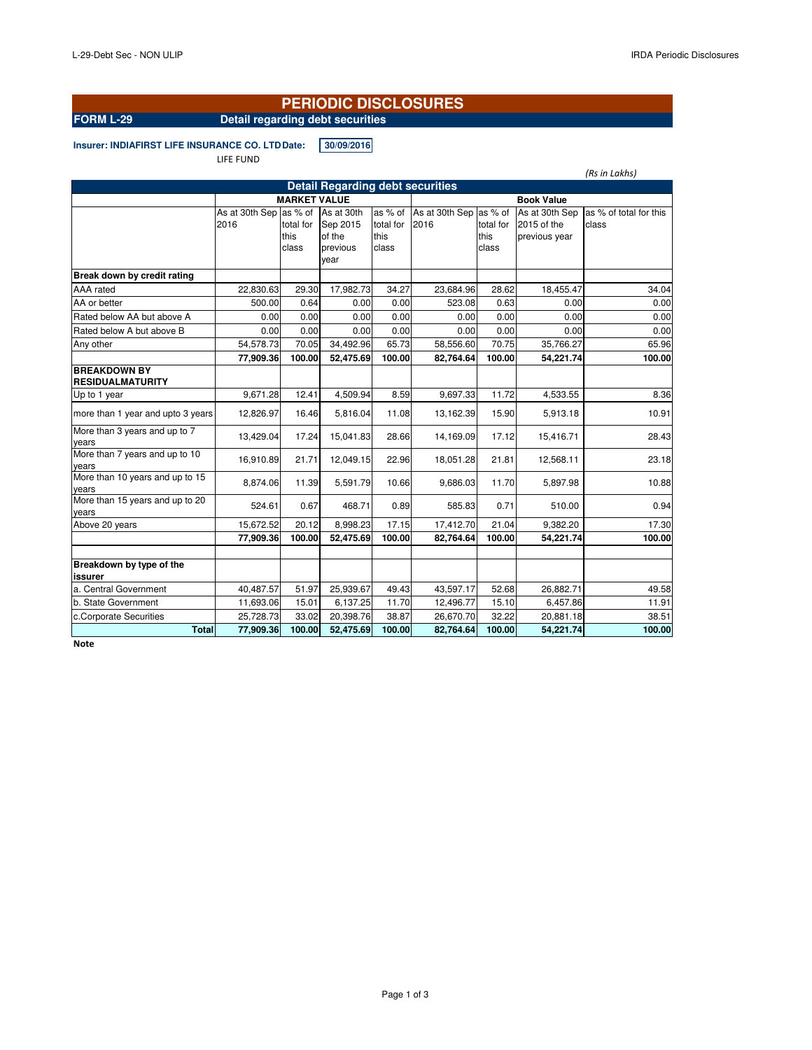## **PERIODIC DISCLOSURES**

# **FORM L-29 Detail regarding debt securities**

**Insurer: INDIAFIRST LIFE INSURANCE CO. LTD Date: 30/09/2016** 

LIFE FUND

|                                                | (Rs in Lakhs)          |                     |                  |                   |                |           |                |                        |  |  |  |
|------------------------------------------------|------------------------|---------------------|------------------|-------------------|----------------|-----------|----------------|------------------------|--|--|--|
| <b>Detail Regarding debt securities</b>        |                        |                     |                  |                   |                |           |                |                        |  |  |  |
|                                                |                        | <b>MARKET VALUE</b> |                  | <b>Book Value</b> |                |           |                |                        |  |  |  |
|                                                | As at 30th Sep as % of |                     | As at 30th       | as % of           | As at 30th Sep | as % of   | As at 30th Sep | as % of total for this |  |  |  |
|                                                | 2016                   | total for           | Sep 2015         | total for         | 2016           | total for | 2015 of the    | class                  |  |  |  |
|                                                |                        | this                | of the           | this              |                | this      | previous year  |                        |  |  |  |
|                                                |                        | class               | previous<br>year | class             |                | class     |                |                        |  |  |  |
|                                                |                        |                     |                  |                   |                |           |                |                        |  |  |  |
| Break down by credit rating                    |                        |                     |                  |                   |                |           |                |                        |  |  |  |
| AAA rated                                      | 22,830.63              | 29.30               | 17,982.73        | 34.27             | 23,684.96      | 28.62     | 18,455.47      | 34.04                  |  |  |  |
| AA or better                                   | 500.00                 | 0.64                | 0.00             | 0.00              | 523.08         | 0.63      | 0.00           | 0.00                   |  |  |  |
| Rated below AA but above A                     | 0.00                   | 0.00                | 0.00             | 0.00              | 0.00           | 0.00      | 0.00           | 0.00                   |  |  |  |
| Rated below A but above B                      | 0.00                   | 0.00                | 0.00             | 0.00              | 0.00           | 0.00      | 0.00           | 0.00                   |  |  |  |
| Any other                                      | 54,578.73              | 70.05               | 34,492.96        | 65.73             | 58,556.60      | 70.75     | 35,766.27      | 65.96                  |  |  |  |
|                                                | 77,909.36              | 100.00              | 52,475.69        | 100.00            | 82,764.64      | 100.00    | 54,221.74      | 100.00                 |  |  |  |
| <b>BREAKDOWN BY</b><br><b>RESIDUALMATURITY</b> |                        |                     |                  |                   |                |           |                |                        |  |  |  |
| Up to 1 year                                   | 9,671.28               | 12.41               | 4,509.94         | 8.59              | 9,697.33       | 11.72     | 4,533.55       | 8.36                   |  |  |  |
| more than 1 year and upto 3 years              | 12,826.97              | 16.46               | 5,816.04         | 11.08             | 13,162.39      | 15.90     | 5,913.18       | 10.91                  |  |  |  |
| More than 3 years and up to 7<br>years         | 13,429.04              | 17.24               | 15,041.83        | 28.66             | 14,169.09      | 17.12     | 15,416.71      | 28.43                  |  |  |  |
| More than 7 years and up to 10<br>years        | 16,910.89              | 21.71               | 12,049.15        | 22.96             | 18,051.28      | 21.81     | 12,568.11      | 23.18                  |  |  |  |
| More than 10 years and up to 15<br>years       | 8,874.06               | 11.39               | 5,591.79         | 10.66             | 9,686.03       | 11.70     | 5,897.98       | 10.88                  |  |  |  |
| More than 15 years and up to 20<br>years       | 524.61                 | 0.67                | 468.71           | 0.89              | 585.83         | 0.71      | 510.00         | 0.94                   |  |  |  |
| Above 20 years                                 | 15,672.52              | 20.12               | 8,998.23         | 17.15             | 17,412.70      | 21.04     | 9,382.20       | 17.30                  |  |  |  |
|                                                | 77,909.36              | 100.00              | 52,475.69        | 100.00            | 82,764.64      | 100.00    | 54,221.74      | 100.00                 |  |  |  |
|                                                |                        |                     |                  |                   |                |           |                |                        |  |  |  |
| Breakdown by type of the<br>issurer            |                        |                     |                  |                   |                |           |                |                        |  |  |  |
| a. Central Government                          | 40,487.57              | 51.97               | 25,939.67        | 49.43             | 43,597.17      | 52.68     | 26,882.71      | 49.58                  |  |  |  |
| b. State Government                            | 11,693.06              | 15.01               | 6,137.25         | 11.70             | 12,496.77      | 15.10     | 6,457.86       | 11.91                  |  |  |  |
| c.Corporate Securities                         | 25,728.73              | 33.02               | 20,398.76        | 38.87             | 26,670.70      | 32.22     | 20,881.18      | 38.51                  |  |  |  |
| <b>Total</b>                                   | 77,909.36              | 100.00              | 52,475.69        | 100.00            | 82,764.64      | 100.00    | 54,221.74      | 100.00                 |  |  |  |

**Note**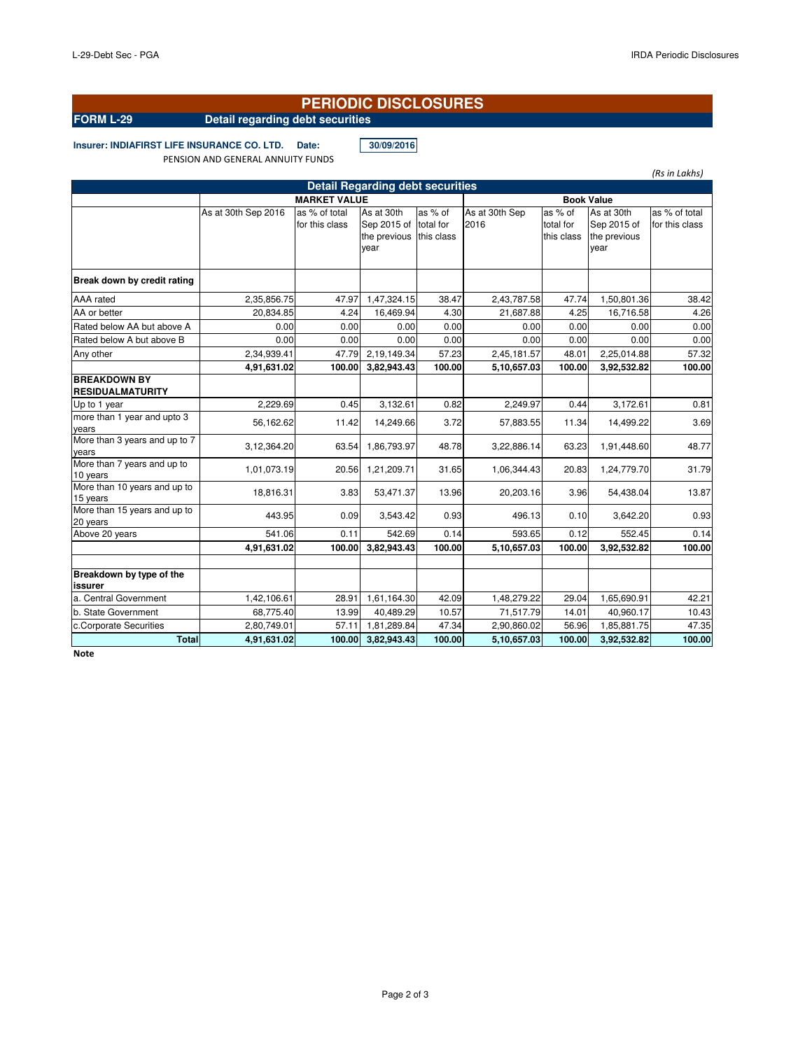### **PERIODIC DISCLOSURES**

# **FORM L-29 Detail regarding debt securities**

**Insurer: INDIAFIRST LIFE INSURANCE CO. LTD. Date: 30/09/2016**

PENSION AND GENERAL ANNUITY FUNDS

|                                                |                     |                                 |                                                   |                                    |                        |                                    |                                                   | (Rs in Lakhs)                   |  |
|------------------------------------------------|---------------------|---------------------------------|---------------------------------------------------|------------------------------------|------------------------|------------------------------------|---------------------------------------------------|---------------------------------|--|
| <b>Detail Regarding debt securities</b>        |                     |                                 |                                                   |                                    |                        |                                    |                                                   |                                 |  |
|                                                | <b>MARKET VALUE</b> |                                 |                                                   |                                    | <b>Book Value</b>      |                                    |                                                   |                                 |  |
|                                                | As at 30th Sep 2016 | as % of total<br>for this class | As at 30th<br>Sep 2015 of<br>the previous<br>year | as % of<br>total for<br>this class | As at 30th Sep<br>2016 | as % of<br>total for<br>this class | As at 30th<br>Sep 2015 of<br>the previous<br>year | as % of total<br>for this class |  |
| Break down by credit rating                    |                     |                                 |                                                   |                                    |                        |                                    |                                                   |                                 |  |
| AAA rated                                      | 2,35,856.75         | 47.97                           | 1,47,324.15                                       | 38.47                              | 2,43,787.58            | 47.74                              | 1,50,801.36                                       | 38.42                           |  |
| AA or better                                   | 20,834.85           | 4.24                            | 16,469.94                                         | 4.30                               | 21,687.88              | 4.25                               | 16,716.58                                         | 4.26                            |  |
| Rated below AA but above A                     | 0.00                | 0.00                            | 0.00                                              | 0.00                               | 0.00                   | 0.00                               | 0.00                                              | 0.00                            |  |
| Rated below A but above B                      | 0.00                | 0.00                            | 0.00                                              | 0.00                               | 0.00                   | 0.00                               | 0.00                                              | 0.00                            |  |
| Any other                                      | 2,34,939.41         | 47.79                           | 2,19,149.34                                       | 57.23                              | 2,45,181.57            | 48.01                              | 2,25,014.88                                       | 57.32                           |  |
|                                                | 4,91,631.02         | 100.00                          | 3,82,943.43                                       | 100.00                             | 5,10,657.03            | 100.00                             | 3,92,532.82                                       | 100.00                          |  |
| <b>BREAKDOWN BY</b><br><b>RESIDUALMATURITY</b> |                     |                                 |                                                   |                                    |                        |                                    |                                                   |                                 |  |
| Up to 1 year                                   | 2.229.69            | 0.45                            | 3.132.61                                          | 0.82                               | 2.249.97               | 0.44                               | 3.172.61                                          | 0.81                            |  |
| more than 1 year and upto 3<br>vears           | 56,162.62           | 11.42                           | 14,249.66                                         | 3.72                               | 57,883.55              | 11.34                              | 14,499.22                                         | 3.69                            |  |
| More than 3 years and up to 7<br>vears         | 3,12,364.20         | 63.54                           | 1,86,793.97                                       | 48.78                              | 3,22,886.14            | 63.23                              | 1,91,448.60                                       | 48.77                           |  |
| More than 7 years and up to<br>10 years        | 1,01,073.19         | 20.56                           | 1,21,209.71                                       | 31.65                              | 1,06,344.43            | 20.83                              | 1,24,779.70                                       | 31.79                           |  |
| More than 10 years and up to<br>15 years       | 18,816.31           | 3.83                            | 53,471.37                                         | 13.96                              | 20,203.16              | 3.96                               | 54,438.04                                         | 13.87                           |  |
| More than 15 years and up to<br>20 years       | 443.95              | 0.09                            | 3,543.42                                          | 0.93                               | 496.13                 | 0.10                               | 3,642.20                                          | 0.93                            |  |
| Above 20 years                                 | 541.06              | 0.11                            | 542.69                                            | 0.14                               | 593.65                 | 0.12                               | 552.45                                            | 0.14                            |  |
|                                                | 4,91,631.02         | 100.00                          | 3,82,943.43                                       | 100.00                             | 5,10,657.03            | 100.00                             | 3,92,532.82                                       | 100.00                          |  |
| Breakdown by type of the<br>issurer            |                     |                                 |                                                   |                                    |                        |                                    |                                                   |                                 |  |
| a. Central Government                          | 1,42,106.61         | 28.91                           | 1,61,164.30                                       | 42.09                              | 1,48,279.22            | 29.04                              | 1,65,690.91                                       | 42.21                           |  |
| b. State Government                            | 68.775.40           | 13.99                           | 40.489.29                                         | 10.57                              | 71,517.79              | 14.01                              | 40.960.17                                         | 10.43                           |  |
| c.Corporate Securities                         | 2,80,749.01         | 57.11                           | 1,81,289.84                                       | 47.34                              | 2,90,860.02            | 56.96                              | 1,85,881.75                                       | 47.35                           |  |
| <b>Total</b>                                   | 4,91,631.02         | 100.00                          | 3,82,943.43                                       | 100.00                             | 5,10,657.03            | 100.00                             | 3,92,532.82                                       | 100.00                          |  |

**Note**